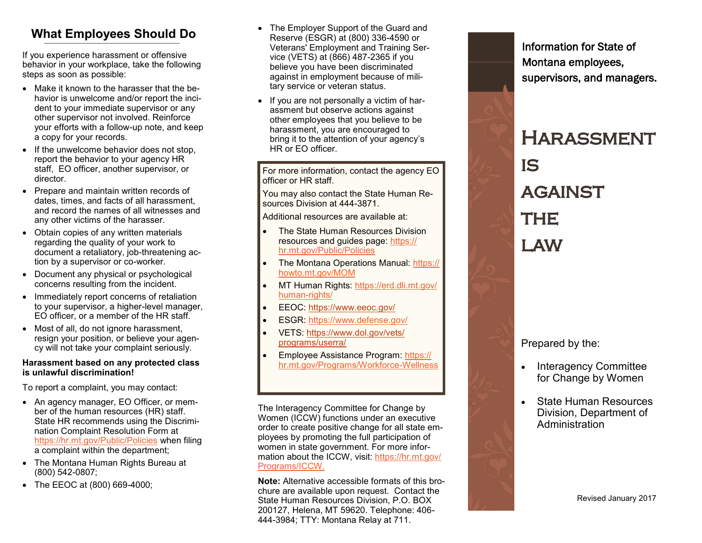# **What Employees Should Do**

If you experience harassment or offensive behavior in your workplace, take the following steps as soon as possible:

- Make it known to the harasser that the behavior is unwelcome and/or report the incident to your immediate supervisor or any other supervisor not involved. Reinforce your efforts with a follow -up note, and keep a copy for your records.
- If the unwelcome behavior does not stop, report the behavior to your agency HR staff, EO officer, another supervisor, or director.
- Prepare and maintain written records of dates, times, and facts of all harassment, and record the names of all witnesses and any other victims of the harasser.
- Obtain copies of any written materials regarding the quality of your work to document a retaliatory, job -threatening action by a supervisor or co-worker.
- Document any physical or psychological concerns resulting from the incident.
- Immediately report concerns of retaliation to your supervisor, a higher -level manager, EO officer, or a member of the HR staff.
- Most of all, do not ignore harassment, resign your position, or believe your agency will not take your complaint seriously.

#### **Harassment based on any protected class is unlawful discrimination!**

To report a complaint, you may contact:

- An agency manager, EO Officer, or member of the human resources (HR) staff. State HR recommends using the Discrimination Complaint Resolution Form at <https://hr.mt.gov/Public/Policies> when filing a complaint within the department;
- The Montana Human Rights Bureau at (800) 542 -0807;
- The EEOC at (800) 669 -4000;
- The Employer Support of the Guard and Reserve (ESGR) at (800) 336 -4590 or Veterans' Employment and Training Service (VETS) at (866) 487-2365 if you believe you have been discriminated against in employment because of military service or veteran status.
- If you are not personally a victim of harassment but observe actions against other employees that you believe to be harassment, you are encouraged to bring it to the attention of your agency 's HR or EO officer.

For more information, contact the agency EO officer or HR staff.

You may also contact the State Human Resources Division at 444-3871.

Additional resources are available at:

- The State Human Resources Division resources and guides page: [https://](https://hr.mt.gov/Public/Policies) [hr.mt.gov/Public/Policies](https://hr.mt.gov/Public/Policies)
- The Montana Operations Manual: [https://](https://howto.mt.gov/MOM) [howto.mt.gov/MOM](https://howto.mt.gov/MOM)
- MT Human Rights: [https://erd.dli.mt.gov/](https://erd.dli.mt.gov/human-rights/) [human](https://erd.dli.mt.gov/human-rights/)-rights/
- EEOC:<https://www.eeoc.gov/>
- ESGR:<https://www.defense.gov/>
- VETS: [https://www.dol.gov/vets/](https://www.dol.gov/vets/programs/userra/) [programs/userra/](https://www.dol.gov/vets/programs/userra/)
- Employee Assistance Program: [https://](https://hr.mt.gov/Programs/Workforce-Wellness) [hr.mt.gov/Programs/Workforce](https://hr.mt.gov/Programs/Workforce-Wellness) -Wellness

The Interagency Committee for Change by Women (ICCW) functions under an executive order to create positive change for all state employees by promoting the full participation of women in state government. For more information about the ICCW, visit: [https://hr.mt.gov/](https://hr.mt.gov/Programs/ICCW) [Programs/ICCW.](https://hr.mt.gov/Programs/ICCW)

**Note:** Alternative accessible formats of this brochure are available upon request. Contact the State Human Resources Division, P.O. BOX 200127, Helena, MT 59620. Telephone: 406 - 444 -3984; TTY: Montana Relay at 711.

Information for State of Montana employees, supervisors, and managers.

# **HARASSMENT** IS **AGAINST THE** LAW

Prepared by the:

- Interagency Committee for Change by Women
- State Human Resources Division, Department of Administration